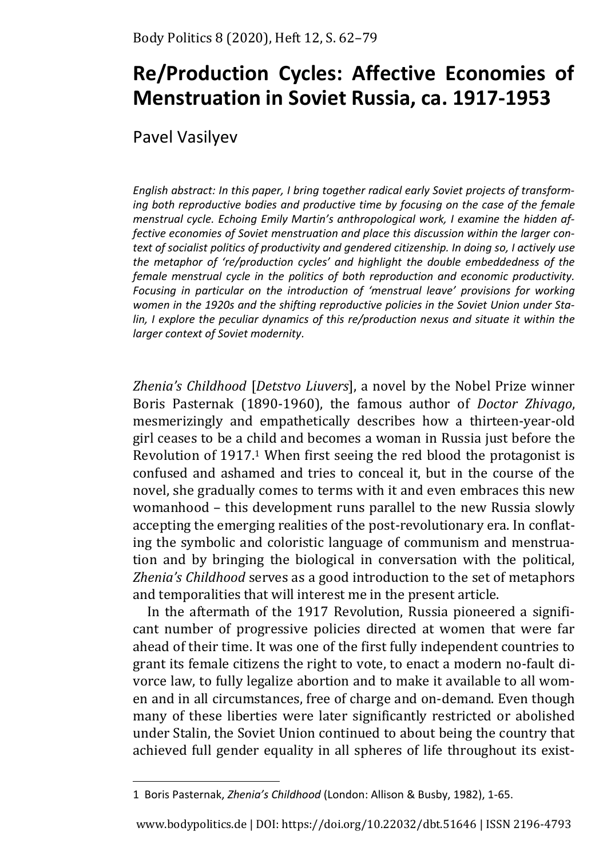# **Re/Production Cycles: Affective Economies of Menstruation in Soviet Russia, ca. 1917-1953**

Pavel Vasilyev

*English abstract: In this paper, I bring together radical early Soviet projects of transforming both reproductive bodies and productive time by focusing on the case of the female menstrual cycle. Echoing Emily Martin's anthropological work, I examine the hidden affective economies of Soviet menstruation and place this discussion within the larger context of socialist politics of productivity and gendered citizenship. In doing so, I actively use the metaphor of 're/production cycles' and highlight the double embeddedness of the female menstrual cycle in the politics of both reproduction and economic productivity. Focusing in particular on the introduction of 'menstrual leave' provisions for working women in the 1920s and the shifting reproductive policies in the Soviet Union under Stalin, I explore the peculiar dynamics of this re/production nexus and situate it within the larger context of Soviet modernity.* 

*Zhenia's Childhood* [*Detstvo Liuvers*], a novel by the Nobel Prize winner Boris Pasternak (1890-1960), the famous author of *Doctor Zhivago*, mesmerizingly and empathetically describes how a thirteen-year-old girl ceases to be a child and becomes a woman in Russia just before the Revolution of 1917.1 When first seeing the red blood the protagonist is confused and ashamed and tries to conceal it, but in the course of the novel, she gradually comes to terms with it and even embraces this new womanhood – this development runs parallel to the new Russia slowly accepting the emerging realities of the post-revolutionary era. In conflating the symbolic and coloristic language of communism and menstruation and by bringing the biological in conversation with the political, *Zhenia's Childhood* serves as a good introduction to the set of metaphors and temporalities that will interest me in the present article.

In the aftermath of the 1917 Revolution, Russia pioneered a significant number of progressive policies directed at women that were far ahead of their time. It was one of the first fully independent countries to grant its female citizens the right to vote, to enact a modern no-fault divorce law, to fully legalize abortion and to make it available to all women and in all circumstances, free of charge and on-demand. Even though many of these liberties were later significantly restricted or abolished under Stalin, the Soviet Union continued to about being the country that achieved full gender equality in all spheres of life throughout its exist-

<sup>1</sup> Boris Pasternak, *Zhenia's Childhood* (London: Allison & Busby, 1982), 1-65.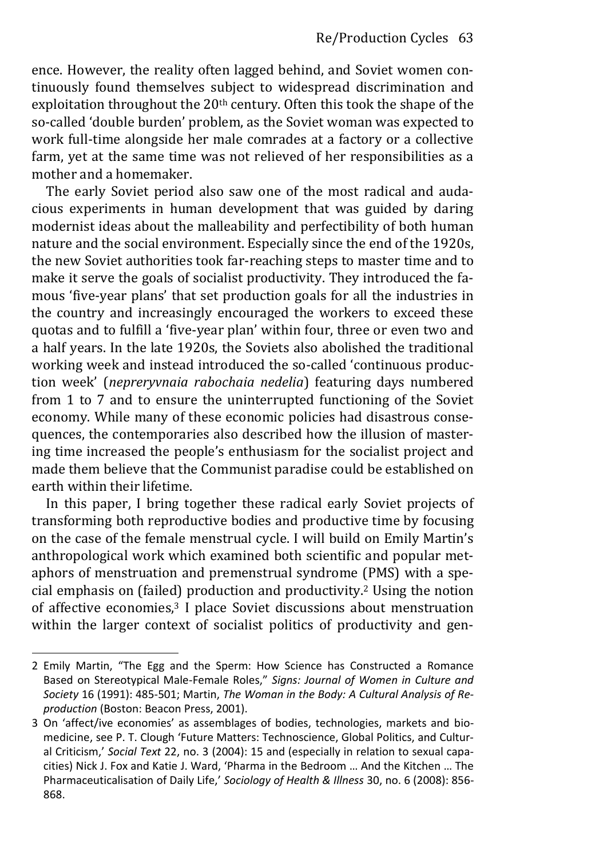ence. However, the reality often lagged behind, and Soviet women continuously found themselves subject to widespread discrimination and exploitation throughout the 20<sup>th</sup> century. Often this took the shape of the so-called 'double burden' problem, as the Soviet woman was expected to work full-time alongside her male comrades at a factory or a collective farm, yet at the same time was not relieved of her responsibilities as a mother and a homemaker.

The early Soviet period also saw one of the most radical and audacious experiments in human development that was guided by daring modernist ideas about the malleability and perfectibility of both human nature and the social environment. Especially since the end of the 1920s, the new Soviet authorities took far-reaching steps to master time and to make it serve the goals of socialist productivity. They introduced the famous 'five-year plans' that set production goals for all the industries in the country and increasingly encouraged the workers to exceed these quotas and to fulfill a 'five-year plan' within four, three or even two and a half years. In the late 1920s, the Soviets also abolished the traditional working week and instead introduced the so-called 'continuous production week' (*nepreryvnaia rabochaia nedelia*) featuring days numbered from 1 to 7 and to ensure the uninterrupted functioning of the Soviet economy. While many of these economic policies had disastrous consequences, the contemporaries also described how the illusion of mastering time increased the people's enthusiasm for the socialist project and made them believe that the Communist paradise could be established on earth within their lifetime.

In this paper, I bring together these radical early Soviet projects of transforming both reproductive bodies and productive time by focusing on the case of the female menstrual cycle. I will build on Emily Martin's anthropological work which examined both scientific and popular metaphors of menstruation and premenstrual syndrome (PMS) with a special emphasis on (failed) production and productivity.2 Using the notion of affective economies,3 I place Soviet discussions about menstruation within the larger context of socialist politics of productivity and gen-

<sup>2</sup> Emily Martin, "The Egg and the Sperm: How Science has Constructed a Romance Based on Stereotypical Male-Female Roles," *Signs: Journal of Women in Culture and Society* 16 (1991): 485-501; Martin, *The Woman in the Body: A Cultural Analysis of Reproduction* (Boston: Beacon Press, 2001).

<sup>3</sup> On 'affect/ive economies' as assemblages of bodies, technologies, markets and biomedicine, see P. T. Clough 'Future Matters: Technoscience, Global Politics, and Cultur‐ al Criticism,' *Social Text* 22, no. 3 (2004): 15 and (especially in relation to sexual capacities) Nick J. Fox and Katie J. Ward, 'Pharma in the Bedroom … And the Kitchen … The Pharmaceuticalisation of Daily Life,' *Sociology of Health & Illness* 30, no. 6 (2008): 856- 868.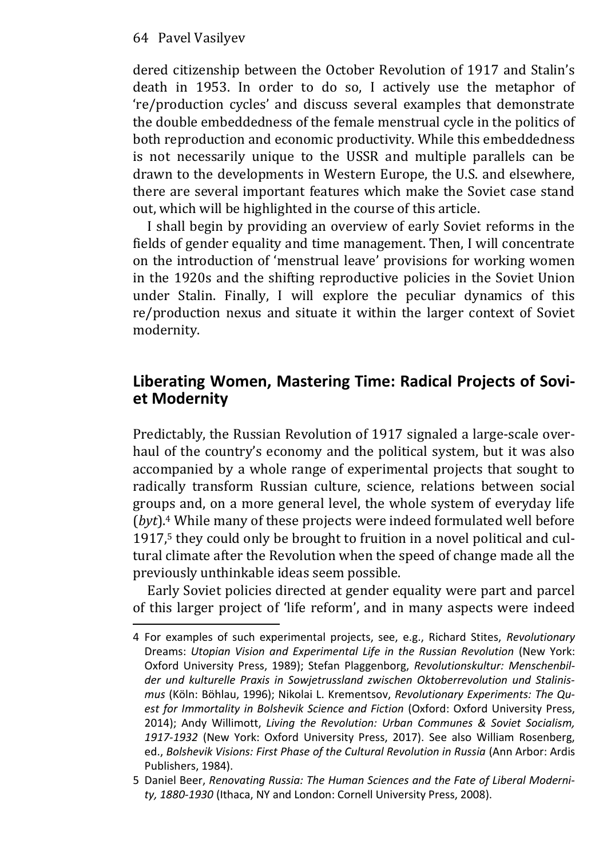dered citizenship between the October Revolution of 1917 and Stalin's death in 1953. In order to do so, I actively use the metaphor of 're/production cycles' and discuss several examples that demonstrate the double embeddedness of the female menstrual cycle in the politics of both reproduction and economic productivity. While this embeddedness is not necessarily unique to the USSR and multiple parallels can be drawn to the developments in Western Europe, the U.S. and elsewhere, there are several important features which make the Soviet case stand out, which will be highlighted in the course of this article.

I shall begin by providing an overview of early Soviet reforms in the fields of gender equality and time management. Then, I will concentrate on the introduction of 'menstrual leave' provisions for working women in the 1920s and the shifting reproductive policies in the Soviet Union under Stalin. Finally, I will explore the peculiar dynamics of this re/production nexus and situate it within the larger context of Soviet modernity.

### **Liberating Women, Mastering Time: Radical Projects of Soviet Modernity**

Predictably, the Russian Revolution of 1917 signaled a large-scale overhaul of the country's economy and the political system, but it was also accompanied by a whole range of experimental projects that sought to radically transform Russian culture, science, relations between social groups and, on a more general level, the whole system of everyday life (*byt*).4 While many of these projects were indeed formulated well before 1917,<sup>5</sup> they could only be brought to fruition in a novel political and cultural climate after the Revolution when the speed of change made all the previously unthinkable ideas seem possible.

Early Soviet policies directed at gender equality were part and parcel of this larger project of 'life reform', and in many aspects were indeed

<sup>4</sup> For examples of such experimental projects, see, e.g., Richard Stites, *Revolutionary* Dreams: *Utopian Vision and Experimental Life in the Russian Revolution* (New York: Oxford University Press, 1989); Stefan Plaggenborg, *Revolutionskultur: Menschenbilder und kulturelle Praxis in Sowjetrussland zwischen Oktoberrevolution und Stalinismus* (Köln: Böhlau, 1996); Nikolai L. Krementsov, *Revolutionary Experiments: The Quest for Immortality in Bolshevik Science and Fiction* (Oxford: Oxford University Press, 2014); Andy Willimott, *Living the Revolution: Urban Communes & Soviet Socialism, 1917-1932* (New York: Oxford University Press, 2017). See also William Rosenberg, ed., *Bolshevik Visions: First Phase of the Cultural Revolution in Russia* (Ann Arbor: Ardis Publishers, 1984).

<sup>5</sup> Daniel Beer, *Renovating Russia: The Human Sciences and the Fate of Liberal Modernity, 1880-1930* (Ithaca, NY and London: Cornell University Press, 2008).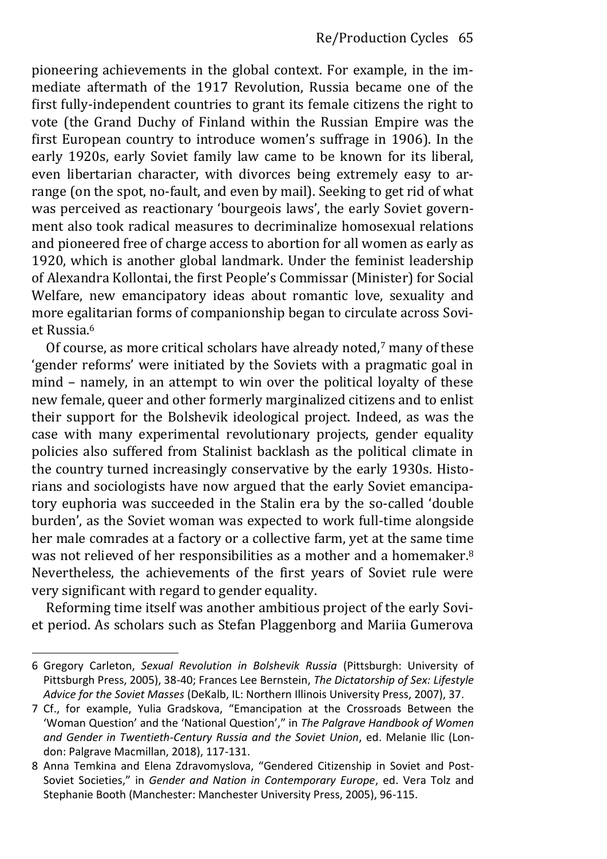pioneering achievements in the global context. For example, in the immediate aftermath of the 1917 Revolution, Russia became one of the first fully-independent countries to grant its female citizens the right to vote (the Grand Duchy of Finland within the Russian Empire was the first European country to introduce women's suffrage in 1906). In the early 1920s, early Soviet family law came to be known for its liberal, even libertarian character, with divorces being extremely easy to arrange (on the spot, no-fault, and even by mail). Seeking to get rid of what was perceived as reactionary 'bourgeois laws', the early Soviet government also took radical measures to decriminalize homosexual relations and pioneered free of charge access to abortion for all women as early as 1920, which is another global landmark. Under the feminist leadership of Alexandra Kollontai, the first People's Commissar (Minister) for Social Welfare, new emancipatory ideas about romantic love, sexuality and more egalitarian forms of companionship began to circulate across Soviet Russia.<sup>6</sup>

Of course, as more critical scholars have already noted,7 many of these 'gender reforms' were initiated by the Soviets with a pragmatic goal in mind – namely, in an attempt to win over the political loyalty of these new female, queer and other formerly marginalized citizens and to enlist their support for the Bolshevik ideological project. Indeed, as was the case with many experimental revolutionary projects, gender equality policies also suffered from Stalinist backlash as the political climate in the country turned increasingly conservative by the early 1930s. Historians and sociologists have now argued that the early Soviet emancipatory euphoria was succeeded in the Stalin era by the so-called 'double burden', as the Soviet woman was expected to work full-time alongside her male comrades at a factory or a collective farm, yet at the same time was not relieved of her responsibilities as a mother and a homemaker.<sup>8</sup> Nevertheless, the achievements of the first years of Soviet rule were very significant with regard to gender equality.

Reforming time itself was another ambitious project of the early Soviet period. As scholars such as Stefan Plaggenborg and Mariia Gumerova

<sup>6</sup> Gregory Carleton, *Sexual Revolution in Bolshevik Russia* (Pittsburgh: University of Pittsburgh Press, 2005), 38-40; Frances Lee Bernstein, *The Dictatorship of Sex: Lifestyle Advice for the Soviet Masses* (DeKalb, IL: Northern Illinois University Press, 2007), 37.

<sup>7</sup> Cf., for example, Yulia Gradskova, "Emancipation at the Crossroads Between the 'Woman Question' and the 'National Question'," in *The Palgrave Handbook of Women and Gender in Twentieth-Century Russia and the Soviet Union*, ed. Melanie Ilic (London: Palgrave Macmillan, 2018), 117-131.

<sup>8</sup> Anna Temkina and Elena Zdravomyslova, "Gendered Citizenship in Soviet and Post-Soviet Societies," in *Gender and Nation in Contemporary Europe*, ed. Vera Tolz and Stephanie Booth (Manchester: Manchester University Press, 2005), 96-115.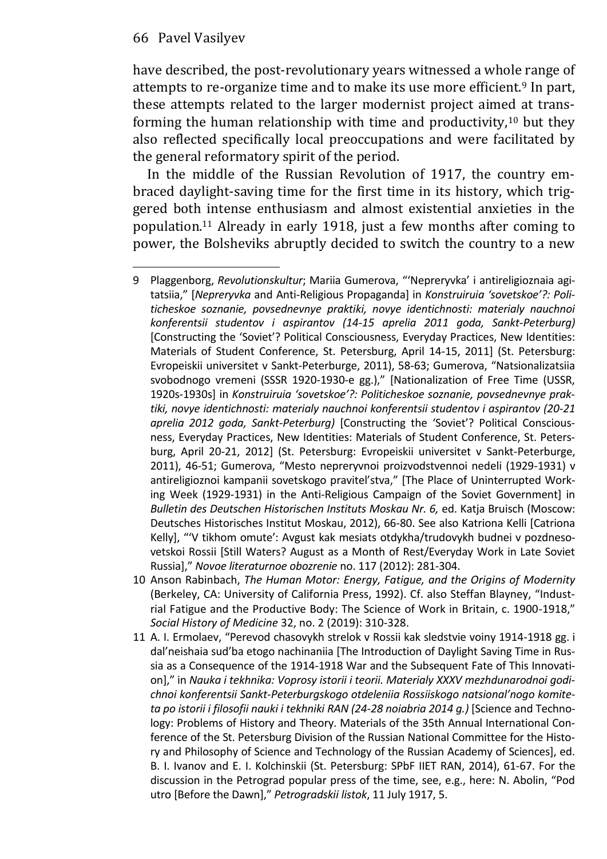have described, the post-revolutionary years witnessed a whole range of attempts to re-organize time and to make its use more efficient.9 In part, these attempts related to the larger modernist project aimed at transforming the human relationship with time and productivity,  $10$  but they also reflected specifically local preoccupations and were facilitated by the general reformatory spirit of the period.

In the middle of the Russian Revolution of 1917, the country embraced daylight-saving time for the first time in its history, which triggered both intense enthusiasm and almost existential anxieties in the population.11 Already in early 1918, just a few months after coming to power, the Bolsheviks abruptly decided to switch the country to a new

- 10 Anson Rabinbach, *The Human Motor: Energy, Fatigue, and the Origins of Modernity* (Berkeley, CA: University of California Press, 1992). Cf. also Steffan Blayney, "Indust‐ rial Fatigue and the Productive Body: The Science of Work in Britain, c. 1900-1918," *Social History of Medicine* 32, no. 2 (2019): 310-328.
- 11 A. I. Ermolaev, "Perevod chasovykh strelok v Rossii kak sledstvie voiny 1914-1918 gg. i dal'neishaia sud'ba etogo nachinaniia [The Introduction of Daylight Saving Time in Rus‐ sia as a Consequence of the 1914-1918 War and the Subsequent Fate of This Innovation]," in *Nauka i tekhnika: Voprosy istorii i teorii. Materialy XXXV mezhdunarodnoi godichnoi konferentsii Sankt-Peterburgskogo otdeleniia Rossiiskogo natsional'nogo komiteta po istorii i filosofii nauki i tekhniki RAN (24-28 noiabria 2014 g.)* [Science and Technology: Problems of History and Theory. Materials of the 35th Annual International Conference of the St. Petersburg Division of the Russian National Committee for the History and Philosophy of Science and Technology of the Russian Academy of Sciences], ed. B. I. Ivanov and E. I. Kolchinskii (St. Petersburg: SPbF IIET RAN, 2014), 61-67. For the discussion in the Petrograd popular press of the time, see, e.g., here: N. Abolin, "Pod utro [Before the Dawn]," *Petrogradskii listok*, 11 July 1917, 5.

<sup>9</sup> Plaggenborg, *Revolutionskultur*; Mariia Gumerova, "'Nepreryvka' i antireligioznaia agi‐ tatsiia," [*Nepreryvka* and Anti-Religious Propaganda] in *Konstruiruia 'sovetskoe'?: Politicheskoe soznanie, povsednevnye praktiki, novye identichnosti: materialy nauchnoi konferentsii studentov i aspirantov (14-15 aprelia 2011 goda, Sankt-Peterburg)*  [Constructing the 'Soviet'? Political Consciousness, Everyday Practices, New Identities: Materials of Student Conference, St. Petersburg, April 14-15, 2011] (St. Petersburg: Evropeiskii universitet v Sankt-Peterburge, 2011), 58-63; Gumerova, "Natsionalizatsiia svobodnogo vremeni (SSSR 1920-1930-e gg.)," [Nationalization of Free Time (USSR, 1920s-1930s] in *Konstruiruia 'sovetskoe'?: Politicheskoe soznanie, povsednevnye praktiki, novye identichnosti: materialy nauchnoi konferentsii studentov i aspirantov (20-21 aprelia 2012 goda, Sankt-Peterburg)* [Constructing the 'Soviet'? Political Conscious‐ ness, Everyday Practices, New Identities: Materials of Student Conference, St. Petersburg, April 20-21, 2012] (St. Petersburg: Evropeiskii universitet v Sankt-Peterburge, 2011), 46-51; Gumerova, "Mesto nepreryvnoi proizvodstvennoi nedeli (1929-1931) v antireligioznoi kampanii sovetskogo pravitel'stva," [The Place of Uninterrupted Working Week (1929-1931) in the Anti-Religious Campaign of the Soviet Government] in *Bulletin des Deutschen Historischen Instituts Moskau Nr. 6,* ed. Katja Bruisch (Moscow: Deutsches Historisches Institut Moskau, 2012), 66-80. See also Katriona Kelli [Catriona Kelly], "'V tikhom omute': Avgust kak mesiats otdykha/trudovykh budnei v pozdnesovetskoi Rossii [Still Waters? August as a Month of Rest/Everyday Work in Late Soviet Russia]," *Novoe literaturnoe obozrenie* no. 117 (2012): 281-304.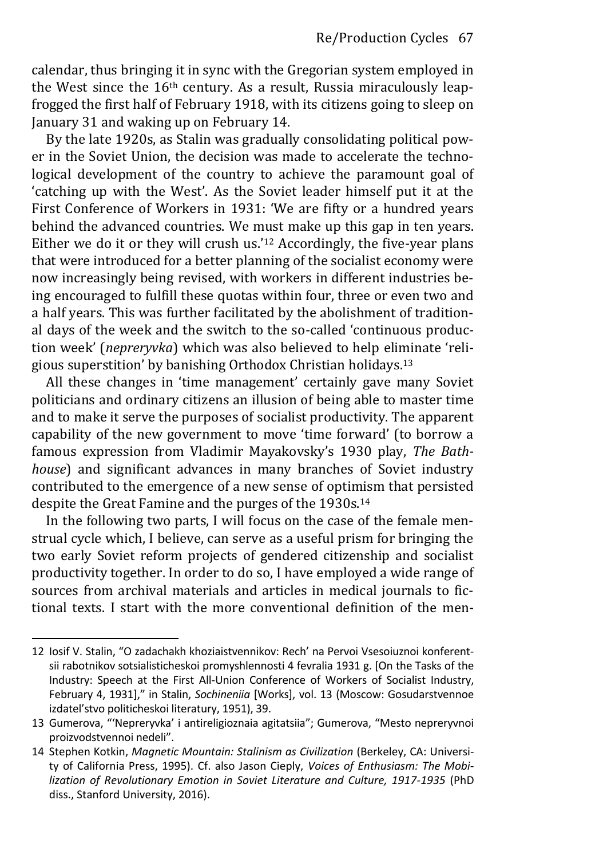calendar, thus bringing it in sync with the Gregorian system employed in the West since the  $16<sup>th</sup>$  century. As a result, Russia miraculously leapfrogged the first half of February 1918, with its citizens going to sleep on January 31 and waking up on February 14.

By the late 1920s, as Stalin was gradually consolidating political power in the Soviet Union, the decision was made to accelerate the technological development of the country to achieve the paramount goal of 'catching up with the West'. As the Soviet leader himself put it at the First Conference of Workers in 1931: 'We are fifty or a hundred years behind the advanced countries. We must make up this gap in ten years. Either we do it or they will crush us.'<sup>12</sup> Accordingly, the five-year plans that were introduced for a better planning of the socialist economy were now increasingly being revised, with workers in different industries being encouraged to fulfill these quotas within four, three or even two and a half years. This was further facilitated by the abolishment of traditional days of the week and the switch to the so-called 'continuous production week' (*nepreryvka*) which was also believed to help eliminate 'religious superstition' by banishing Orthodox Christian holidays.<sup>13</sup>

All these changes in 'time management' certainly gave many Soviet politicians and ordinary citizens an illusion of being able to master time and to make it serve the purposes of socialist productivity. The apparent capability of the new government to move 'time forward' (to borrow a famous expression from Vladimir Mayakovsky's 1930 play, *The Bathhouse*) and significant advances in many branches of Soviet industry contributed to the emergence of a new sense of optimism that persisted despite the Great Famine and the purges of the 1930s.<sup>14</sup>

In the following two parts, I will focus on the case of the female menstrual cycle which, I believe, can serve as a useful prism for bringing the two early Soviet reform projects of gendered citizenship and socialist productivity together. In order to do so, I have employed a wide range of sources from archival materials and articles in medical journals to fictional texts. I start with the more conventional definition of the men-

<sup>12</sup> Iosif V. Stalin, "O zadachakh khoziaistvennikov: Rech' na Pervoi Vsesoiuznoi konferent‐ sii rabotnikov sotsialisticheskoi promyshlennosti 4 fevralia 1931 g. [On the Tasks of the Industry: Speech at the First All-Union Conference of Workers of Socialist Industry, February 4, 1931]," in Stalin, *Sochineniia* [Works], vol. 13 (Moscow: Gosudarstvennoe izdatel'stvo politicheskoi literatury, 1951), 39.

<sup>13</sup> Gumerova, "'Nepreryvka' i antireligioznaia agitatsiia"; Gumerova, "Mesto nepreryvnoi proizvodstvennoi nedeli".

<sup>14</sup> Stephen Kotkin, *Magnetic Mountain: Stalinism as Civilization* (Berkeley, CA: University of California Press, 1995). Cf. also Jason Cieply, *Voices of Enthusiasm: The Mobilization of Revolutionary Emotion in Soviet Literature and Culture, 1917-1935* (PhD diss., Stanford University, 2016).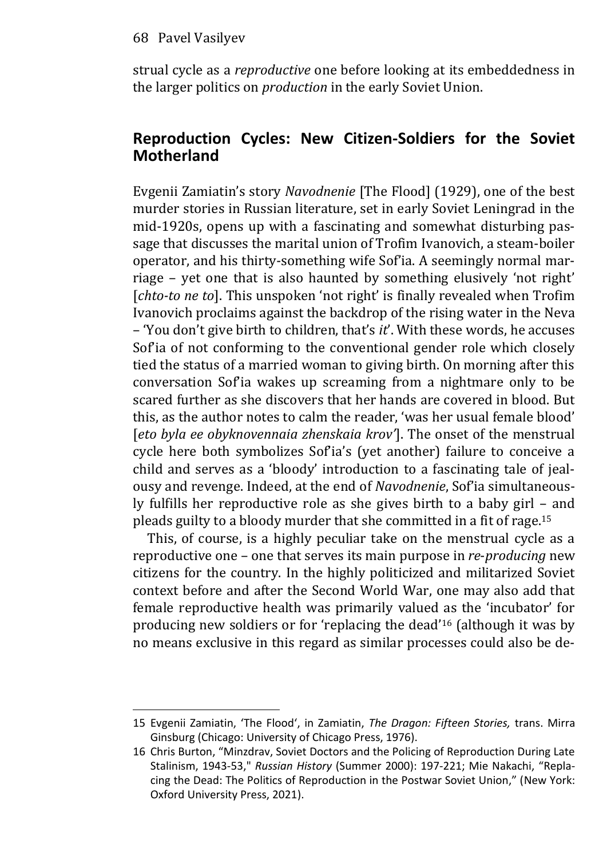strual cycle as a *reproductive* one before looking at its embeddedness in the larger politics on *production* in the early Soviet Union.

# **Reproduction Cycles: New Citizen-Soldiers for the Soviet Motherland**

Evgenii Zamiatin's story *Navodnenie* [The Flood] (1929), one of the best murder stories in Russian literature, set in early Soviet Leningrad in the mid-1920s, opens up with a fascinating and somewhat disturbing passage that discusses the marital union of Trofim Ivanovich, a steam-boiler operator, and his thirty-something wife Sof'ia. A seemingly normal marriage – yet one that is also haunted by something elusively 'not right' [*chto-to ne to*]. This unspoken 'not right' is finally revealed when Trofim Ivanovich proclaims against the backdrop of the rising water in the Neva – 'You don't give birth to children, that's *it*'. With these words, he accuses Sof'ia of not conforming to the conventional gender role which closely tied the status of a married woman to giving birth. On morning after this conversation Sof'ia wakes up screaming from a nightmare only to be scared further as she discovers that her hands are covered in blood. But this, as the author notes to calm the reader, 'was her usual female blood' [*eto byla ee obyknovennaia zhenskaia krov'*]. The onset of the menstrual cycle here both symbolizes Sof'ia's (yet another) failure to conceive a child and serves as a 'bloody' introduction to a fascinating tale of jealousy and revenge. Indeed, at the end of *Navodnenie*, Sof'ia simultaneously fulfills her reproductive role as she gives birth to a baby girl – and pleads guilty to a bloody murder that she committed in a fit of rage.<sup>15</sup>

This, of course, is a highly peculiar take on the menstrual cycle as a reproductive one – one that serves its main purpose in *re*-*producing* new citizens for the country. In the highly politicized and militarized Soviet context before and after the Second World War, one may also add that female reproductive health was primarily valued as the 'incubator' for producing new soldiers or for 'replacing the dead'<sup>16</sup> (although it was by no means exclusive in this regard as similar processes could also be de-

<sup>15</sup> Evgenii Zamiatin, 'The Flood', in Zamiatin, *The Dragon: Fifteen Stories,* trans. Mirra Ginsburg (Chicago: University of Chicago Press, 1976).

<sup>16</sup> Chris Burton, "Minzdrav, Soviet Doctors and the Policing of Reproduction During Late Stalinism, 1943-53," *Russian History* (Summer 2000): 197-221; Mie Nakachi, "Repla‐ cing the Dead: The Politics of Reproduction in the Postwar Soviet Union," (New York: Oxford University Press, 2021).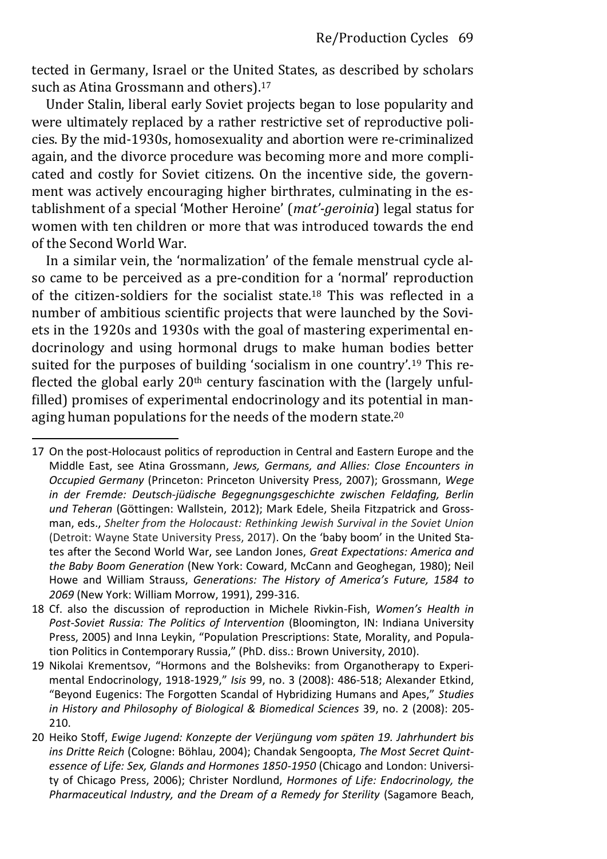tected in Germany, Israel or the United States, as described by scholars such as Atina Grossmann and others).<sup>17</sup>

Under Stalin, liberal early Soviet projects began to lose popularity and were ultimately replaced by a rather restrictive set of reproductive policies. By the mid-1930s, homosexuality and abortion were re-criminalized again, and the divorce procedure was becoming more and more complicated and costly for Soviet citizens. On the incentive side, the government was actively encouraging higher birthrates, culminating in the establishment of a special 'Mother Heroine' (*mat'-geroinia*) legal status for women with ten children or more that was introduced towards the end of the Second World War.

In a similar vein, the 'normalization' of the female menstrual cycle also came to be perceived as a pre-condition for a 'normal' reproduction of the citizen-soldiers for the socialist state.<sup>18</sup> This was reflected in a number of ambitious scientific projects that were launched by the Soviets in the 1920s and 1930s with the goal of mastering experimental endocrinology and using hormonal drugs to make human bodies better suited for the purposes of building 'socialism in one country'.<sup>19</sup> This reflected the global early  $20<sup>th</sup>$  century fascination with the (largely unfulfilled) promises of experimental endocrinology and its potential in managing human populations for the needs of the modern state.<sup>20</sup>

<sup>17</sup> On the post-Holocaust politics of reproduction in Central and Eastern Europe and the Middle East, see Atina Grossmann, *Jews, Germans, and Allies: Close Encounters in Occupied Germany* (Princeton: Princeton University Press, 2007); Grossmann, *Wege in der Fremde: Deutsch-jüdische Begegnungsgeschichte zwischen Feldafing, Berlin und Teheran* (Göttingen: Wallstein, 2012); Mark Edele, Sheila Fitzpatrick and Grossman, eds., *Shelter from the Holocaust: Rethinking Jewish Survival in the Soviet Union*  (Detroit: Wayne State University Press, 2017). On the 'baby boom' in the United Sta‐ tes after the Second World War, see Landon Jones, *Great Expectations: America and the Baby Boom Generation* (New York: Coward, McCann and Geoghegan, 1980); Neil Howe and William Strauss, *Generations: The History of America's Future, 1584 to 2069* (New York: William Morrow, 1991), 299-316.

<sup>18</sup> Cf. also the discussion of reproduction in Michele Rivkin-Fish, *Women's Health in Post-Soviet Russia: The Politics of Intervention* (Bloomington, IN: Indiana University Press, 2005) and Inna Leykin, "Population Prescriptions: State, Morality, and Population Politics in Contemporary Russia," (PhD. diss.: Brown University, 2010).

<sup>19</sup> Nikolai Krementsov, "Hormons and the Bolsheviks: from Organotherapy to Experi‐ mental Endocrinology, 1918-1929," *Isis* 99, no. 3 (2008): 486-518; Alexander Etkind, "Beyond Eugenics: The Forgotten Scandal of Hybridizing Humans and Apes," *Studies in History and Philosophy of Biological & Biomedical Sciences* 39, no. 2 (2008): 205- 210.

<sup>20</sup> Heiko Stoff, *Ewige Jugend: Konzepte der Verjüngung vom späten 19. Jahrhundert bis ins Dritte Reich* (Cologne: Böhlau, 2004); Chandak Sengoopta, *The Most Secret Quintessence of Life: Sex, Glands and Hormones 1850-1950* (Chicago and London: University of Chicago Press, 2006); Christer Nordlund, *Hormones of Life: Endocrinology, the Pharmaceutical Industry, and the Dream of a Remedy for Sterility* (Sagamore Beach,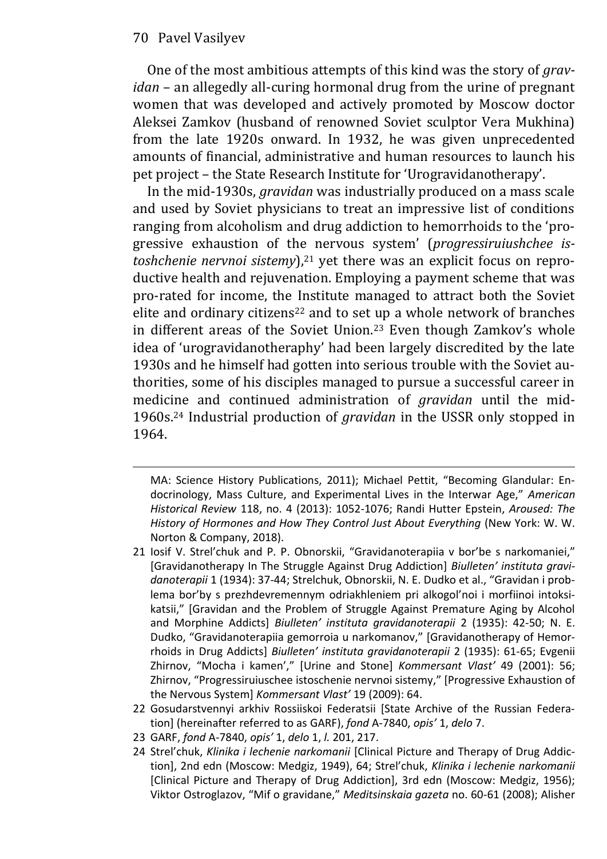One of the most ambitious attempts of this kind was the story of *gravidan* – an allegedly all-curing hormonal drug from the urine of pregnant women that was developed and actively promoted by Moscow doctor Aleksei Zamkov (husband of renowned Soviet sculptor Vera Mukhina) from the late 1920s onward. In 1932, he was given unprecedented amounts of financial, administrative and human resources to launch his pet project – the State Research Institute for 'Urogravidanotherapy'.

In the mid-1930s, *gravidan* was industrially produced on a mass scale and used by Soviet physicians to treat an impressive list of conditions ranging from alcoholism and drug addiction to hemorrhoids to the 'progressive exhaustion of the nervous system' (*progressiruiushchee istoshchenie nervnoi sistemy*),<sup>21</sup> yet there was an explicit focus on reproductive health and rejuvenation. Employing a payment scheme that was pro-rated for income, the Institute managed to attract both the Soviet elite and ordinary citizens<sup>22</sup> and to set up a whole network of branches in different areas of the Soviet Union.<sup>23</sup> Even though Zamkov's whole idea of 'urogravidanotheraphy' had been largely discredited by the late 1930s and he himself had gotten into serious trouble with the Soviet authorities, some of his disciples managed to pursue a successful career in medicine and continued administration of *gravidan* until the mid-1960s.24 Industrial production of *gravidan* in the USSR only stopped in 1964.

- 22 Gosudarstvennyi arkhiv Rossiiskoi Federatsii [State Archive of the Russian Federation] (hereinafter referred to as GARF), *fond* A-7840, *opis'* 1, *delo* 7.
- 23 GARF, *fond* A-7840, *opis'* 1, *delo* 1, *l.* 201, 217.
- 24 Strel'chuk, *Klinika i lechenie narkomanii* [Clinical Picture and Therapy of Drug Addiction], 2nd edn (Moscow: Medgiz, 1949), 64; Strel'chuk, *Klinika i lechenie narkomanii* [Clinical Picture and Therapy of Drug Addiction], 3rd edn (Moscow: Medgiz, 1956); Viktor Ostroglazov, "Mif o gravidane," *Meditsinskaia gazeta* no. 60-61 (2008); Alisher

MA: Science History Publications, 2011); Michael Pettit, "Becoming Glandular: En‐ docrinology, Mass Culture, and Experimental Lives in the Interwar Age," *American Historical Review* 118, no. 4 (2013): 1052-1076; Randi Hutter Epstein, *Aroused: The History of Hormones and How They Control Just About Everything* (New York: W. W. Norton & Company, 2018).

<sup>21</sup> Iosif V. Strel'chuk and P. P. Obnorskii, "Gravidanoterapiia v bor'be s narkomaniei," [Gravidanotherapy In The Struggle Against Drug Addiction] *Biulleten' instituta gravidanoterapii* 1 (1934): 37-44; Strelchuk, Obnorskii, N. E. Dudko et al., "Gravidan i prob‐ lema bor'by s prezhdevremennym odriakhleniem pri alkogol'noi i morfiinoi intoksi‐ katsii," [Gravidan and the Problem of Struggle Against Premature Aging by Alcohol and Morphine Addicts] *Biulleten' instituta gravidanoterapii* 2 (1935): 42-50; N. E. Dudko, "Gravidanoterapiia gemorroia u narkomanov," [Gravidanotherapy of Hemor‐ rhoids in Drug Addicts] *Biulleten' instituta gravidanoterapii* 2 (1935): 61-65; Evgenii Zhirnov, "Mocha i kamen'," [Urine and Stone] *Kommersant Vlast'* 49 (2001): 56; Zhirnov, "Progressiruiuschee istoschenie nervnoi sistemy," [Progressive Exhaustion of the Nervous System] *Kommersant Vlast'* 19 (2009): 64.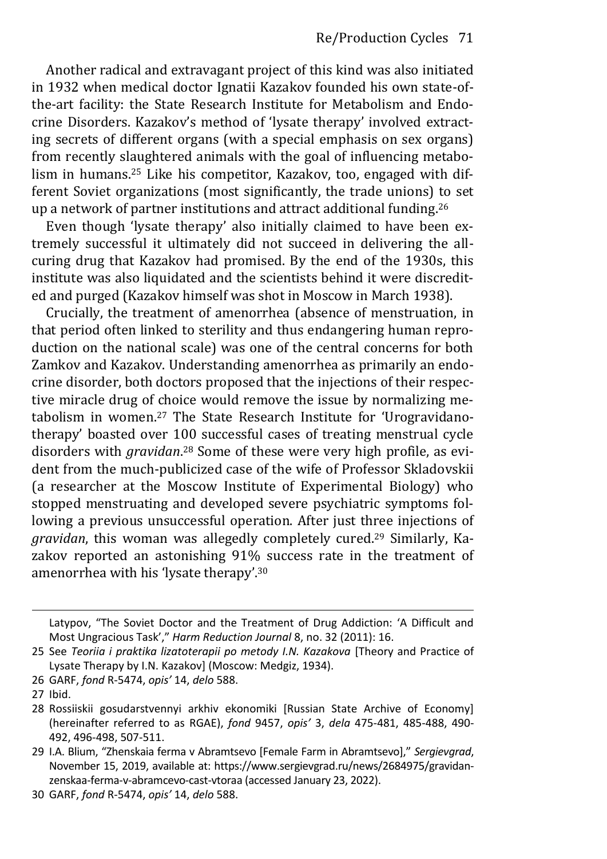Another radical and extravagant project of this kind was also initiated in 1932 when medical doctor Ignatii Kazakov founded his own state-ofthe-art facility: the State Research Institute for Metabolism and Endocrine Disorders. Kazakov's method of 'lysate therapy' involved extracting secrets of different organs (with a special emphasis on sex organs) from recently slaughtered animals with the goal of influencing metabolism in humans.25 Like his competitor, Kazakov, too, engaged with different Soviet organizations (most significantly, the trade unions) to set up a network of partner institutions and attract additional funding.<sup>26</sup>

Even though 'lysate therapy' also initially claimed to have been extremely successful it ultimately did not succeed in delivering the allcuring drug that Kazakov had promised. By the end of the 1930s, this institute was also liquidated and the scientists behind it were discredited and purged (Kazakov himself was shot in Moscow in March 1938).

Crucially, the treatment of amenorrhea (absence of menstruation, in that period often linked to sterility and thus endangering human reproduction on the national scale) was one of the central concerns for both Zamkov and Kazakov. Understanding amenorrhea as primarily an endocrine disorder, both doctors proposed that the injections of their respective miracle drug of choice would remove the issue by normalizing metabolism in women.<sup>27</sup> The State Research Institute for 'Urogravidanotherapy' boasted over 100 successful cases of treating menstrual cycle disorders with *gravidan*. 28 Some of these were very high profile, as evident from the much-publicized case of the wife of Professor Skladovskii (a researcher at the Moscow Institute of Experimental Biology) who stopped menstruating and developed severe psychiatric symptoms following a previous unsuccessful operation. After just three injections of *gravidan*, this woman was allegedly completely cured.29 Similarly, Kazakov reported an astonishing 91% success rate in the treatment of amenorrhea with his 'lysate therapy'.<sup>30</sup>

Latypov, "The Soviet Doctor and the Treatment of Drug Addiction: 'A Difficult and Most Ungracious Task'," *Harm Reduction Journal* 8, no. 32 (2011): 16.

<sup>25</sup> See *Teoriia i praktika lizatoterapii po metody I.N. Kazakova* [Theory and Practice of Lysate Therapy by I.N. Kazakov] (Moscow: Medgiz, 1934).

<sup>26</sup> GARF, *fond* R-5474, *opis'* 14, *delo* 588.

<sup>27</sup> Ibid.

<sup>28</sup> Rossiiskii gosudarstvennyi arkhiv ekonomiki [Russian State Archive of Economy] (hereinafter referred to as RGAE), *fond* 9457, *opis'* 3, *dela* 475-481, 485-488, 490- 492, 496-498, 507-511.

<sup>29</sup> I.A. Blium, "Zhenskaia ferma v Abramtsevo [Female Farm in Abramtsevo]," *Sergievgrad*, November 15, 2019, available at: https://www.sergievgrad.ru/news/2684975/gravidanzenskaa-ferma-v-abramcevo-cast-vtoraa (accessed January 23, 2022).

<sup>30</sup> GARF, *fond* R-5474, *opis'* 14, *delo* 588.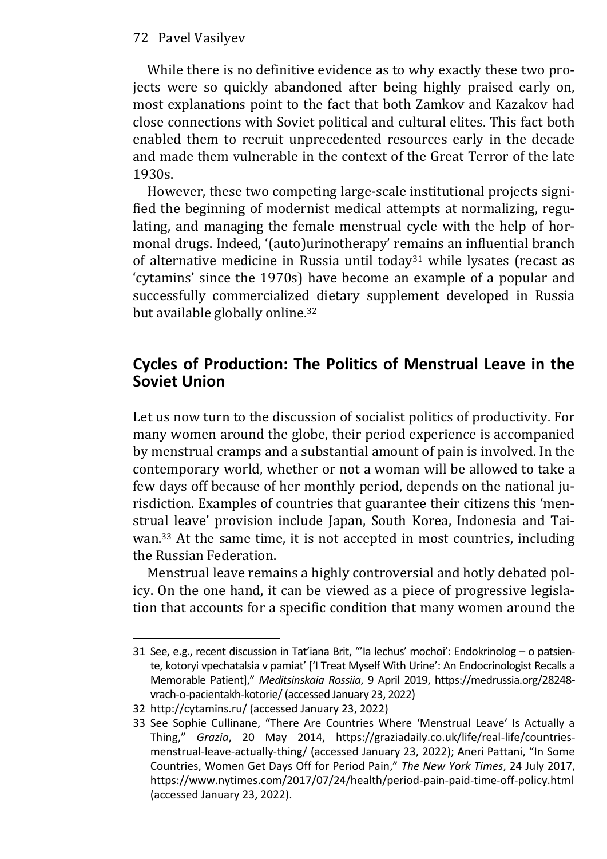While there is no definitive evidence as to why exactly these two projects were so quickly abandoned after being highly praised early on, most explanations point to the fact that both Zamkov and Kazakov had close connections with Soviet political and cultural elites. This fact both enabled them to recruit unprecedented resources early in the decade and made them vulnerable in the context of the Great Terror of the late 1930s.

However, these two competing large-scale institutional projects signified the beginning of modernist medical attempts at normalizing, regulating, and managing the female menstrual cycle with the help of hormonal drugs. Indeed, '(auto)urinotherapy' remains an influential branch of alternative medicine in Russia until today<sup>31</sup> while lysates (recast as 'cytamins' since the 1970s) have become an example of a popular and successfully commercialized dietary supplement developed in Russia but available globally online.<sup>32</sup>

## **Cycles of Production: The Politics of Menstrual Leave in the Soviet Union**

Let us now turn to the discussion of socialist politics of productivity. For many women around the globe, their period experience is accompanied by menstrual cramps and a substantial amount of pain is involved. In the contemporary world, whether or not a woman will be allowed to take a few days off because of her monthly period, depends on the national jurisdiction. Examples of countries that guarantee their citizens this 'menstrual leave' provision include Japan, South Korea, Indonesia and Taiwan.33 At the same time, it is not accepted in most countries, including the Russian Federation.

Menstrual leave remains a highly controversial and hotly debated policy. On the one hand, it can be viewed as a piece of progressive legislation that accounts for a specific condition that many women around the

<sup>31</sup> See, e.g., recent discussion in Tat'iana Brit, "'Ia lechus' mochoi': Endokrinolog – o patsiente, kotoryi vpechatalsia v pamiat' ['I Treat Myself With Urine': An Endocrinologist Recalls a Memorable Patient]," *Meditsinskaia Rossiia*, 9 April 2019, https://medrussia.org/28248 vrach-o-pacientakh-kotorie/ (accessed January 23, 2022)

<sup>32</sup> http://cytamins.ru/ (accessed January 23, 2022)

<sup>33</sup> See Sophie Cullinane, "There Are Countries Where 'Menstrual Leave' Is Actually a Thing," *Grazia*, 20 May 2014, https://graziadaily.co.uk/life/real-life/countriesmenstrual-leave-actually-thing/ (accessed January 23, 2022); Aneri Pattani, "In Some Countries, Women Get Days Off for Period Pain," *The New York Times*, 24 July 2017, https://www.nytimes.com/2017/07/24/health/period-pain-paid-time-off-policy.html (accessed January 23, 2022).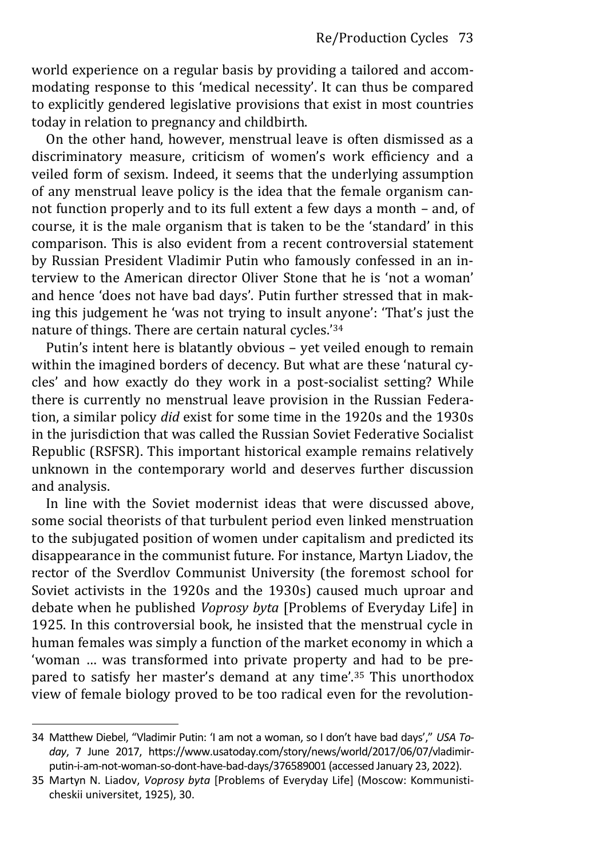world experience on a regular basis by providing a tailored and accommodating response to this 'medical necessity'. It can thus be compared to explicitly gendered legislative provisions that exist in most countries today in relation to pregnancy and childbirth.

On the other hand, however, menstrual leave is often dismissed as a discriminatory measure, criticism of women's work efficiency and a veiled form of sexism. Indeed, it seems that the underlying assumption of any menstrual leave policy is the idea that the female organism cannot function properly and to its full extent a few days a month – and, of course, it is the male organism that is taken to be the 'standard' in this comparison. This is also evident from a recent controversial statement by Russian President Vladimir Putin who famously confessed in an interview to the American director Oliver Stone that he is 'not a woman' and hence 'does not have bad days'. Putin further stressed that in making this judgement he 'was not trying to insult anyone': 'That's just the nature of things. There are certain natural cycles.'<sup>34</sup>

Putin's intent here is blatantly obvious – yet veiled enough to remain within the imagined borders of decency. But what are these 'natural cycles' and how exactly do they work in a post-socialist setting? While there is currently no menstrual leave provision in the Russian Federation, a similar policy *did* exist for some time in the 1920s and the 1930s in the jurisdiction that was called the Russian Soviet Federative Socialist Republic (RSFSR). This important historical example remains relatively unknown in the contemporary world and deserves further discussion and analysis.

In line with the Soviet modernist ideas that were discussed above, some social theorists of that turbulent period even linked menstruation to the subjugated position of women under capitalism and predicted its disappearance in the communist future. For instance, Martyn Liadov, the rector of the Sverdlov Communist University (the foremost school for Soviet activists in the 1920s and the 1930s) caused much uproar and debate when he published *Voprosy byta* [Problems of Everyday Life] in 1925. In this controversial book, he insisted that the menstrual cycle in human females was simply a function of the market economy in which a 'woman … was transformed into private property and had to be prepared to satisfy her master's demand at any time'.<sup>35</sup> This unorthodox view of female biology proved to be too radical even for the revolution-

<sup>34</sup> Matthew Diebel, "Vladimir Putin: 'I am not a woman, so I don't have bad days'," *USA Today*, 7 June 2017, [https://www.usatoday.com/story/news/world/2017/06/07/vladimir](https://www.usatoday.com/story/news/world/2017/06/07/vladimir-putin-i-am-not-woman-so-dont-have-bad-days/376589001)[putin-i-am-not-woman-so-dont-have-bad-days/376589001](https://www.usatoday.com/story/news/world/2017/06/07/vladimir-putin-i-am-not-woman-so-dont-have-bad-days/376589001) (accessed January 23, 2022).

<sup>35</sup> Martyn N. Liadov, *Voprosy byta* [Problems of Everyday Life] (Moscow: Kommunisticheskii universitet, 1925), 30.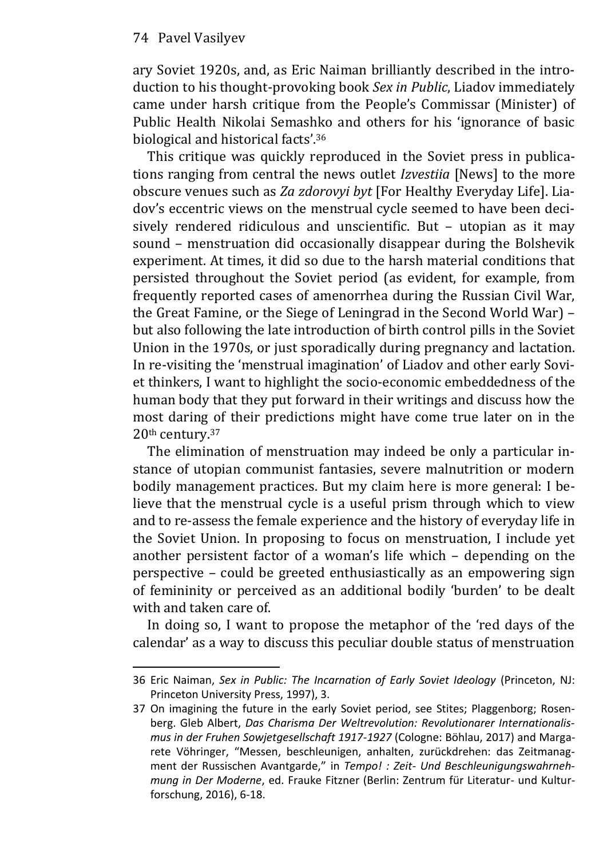ary Soviet 1920s, and, as Eric Naiman brilliantly described in the introduction to his thought-provoking book *Sex in Public*, Liadov immediately came under harsh critique from the People's Commissar (Minister) of Public Health Nikolai Semashko and others for his 'ignorance of basic biological and historical facts'.<sup>36</sup>

This critique was quickly reproduced in the Soviet press in publications ranging from central the news outlet *Izvestiia* [News] to the more obscure venues such as *Za zdorovyi byt* [For Healthy Everyday Life]. Liadov's eccentric views on the menstrual cycle seemed to have been decisively rendered ridiculous and unscientific. But – utopian as it may sound – menstruation did occasionally disappear during the Bolshevik experiment. At times, it did so due to the harsh material conditions that persisted throughout the Soviet period (as evident, for example, from frequently reported cases of amenorrhea during the Russian Civil War, the Great Famine, or the Siege of Leningrad in the Second World War) – but also following the late introduction of birth control pills in the Soviet Union in the 1970s, or just sporadically during pregnancy and lactation. In re-visiting the 'menstrual imagination' of Liadov and other early Soviet thinkers, I want to highlight the socio-economic embeddedness of the human body that they put forward in their writings and discuss how the most daring of their predictions might have come true later on in the 20th century.<sup>37</sup>

The elimination of menstruation may indeed be only a particular instance of utopian communist fantasies, severe malnutrition or modern bodily management practices. But my claim here is more general: I believe that the menstrual cycle is a useful prism through which to view and to re-assess the female experience and the history of everyday life in the Soviet Union. In proposing to focus on menstruation, I include yet another persistent factor of a woman's life which – depending on the perspective – could be greeted enthusiastically as an empowering sign of femininity or perceived as an additional bodily 'burden' to be dealt with and taken care of.

In doing so, I want to propose the metaphor of the 'red days of the calendar' as a way to discuss this peculiar double status of menstruation

<sup>36</sup> Eric Naiman, *Sex in Public: The Incarnation of Early Soviet Ideology* (Princeton, NJ: Princeton University Press, 1997), 3.

<sup>37</sup> On imagining the future in the early Soviet period, see Stites; Plaggenborg; Rosenberg. Gleb Albert, *Das Charisma Der Weltrevolution: Revolutionarer Internationalismus in der Fruhen Sowjetgesellschaft 1917-1927* (Cologne: Böhlau, 2017) and Margarete Vöhringer, "Messen, beschleunigen, anhalten, zurückdrehen: das Zeitmanag‐ ment der Russischen Avantgarde," in *Tempo! : Zeit- Und Beschleunigungswahrnehmung in Der Moderne*, ed. Frauke Fitzner (Berlin: Zentrum für Literatur- und Kulturforschung, 2016), 6-18.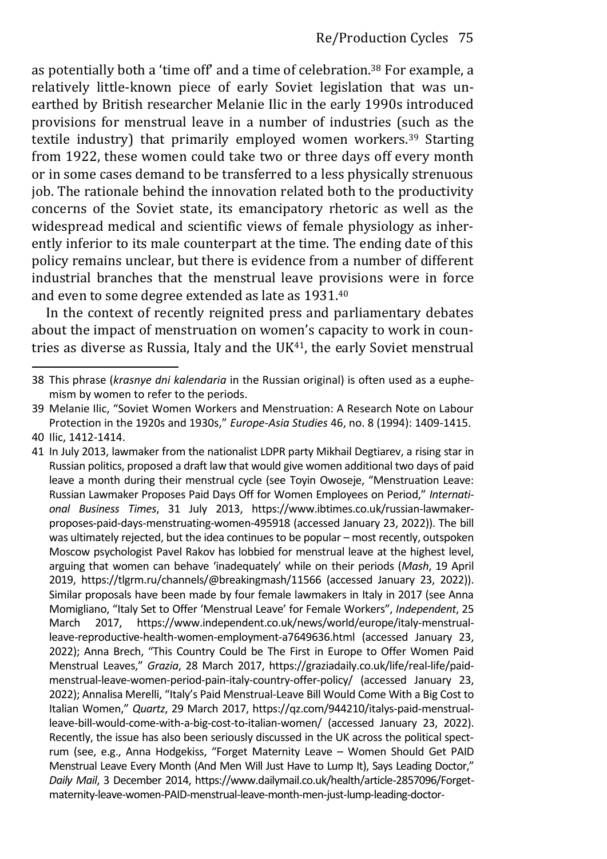as potentially both a 'time off' and a time of celebration.<sup>38</sup> For example, a relatively little-known piece of early Soviet legislation that was unearthed by British researcher Melanie Ilic in the early 1990s introduced provisions for menstrual leave in a number of industries (such as the textile industry) that primarily employed women workers.39 Starting from 1922, these women could take two or three days off every month or in some cases demand to be transferred to a less physically strenuous job. The rationale behind the innovation related both to the productivity concerns of the Soviet state, its emancipatory rhetoric as well as the widespread medical and scientific views of female physiology as inherently inferior to its male counterpart at the time. The ending date of this policy remains unclear, but there is evidence from a number of different industrial branches that the menstrual leave provisions were in force and even to some degree extended as late as 1931.<sup>40</sup>

In the context of recently reignited press and parliamentary debates about the impact of menstruation on women's capacity to work in countries as diverse as Russia, Italy and the  $UK<sup>41</sup>$ , the early Soviet menstrual

<sup>38</sup> This phrase (*krasnye dni kalendaria* in the Russian original) is often used as a euphemism by women to refer to the periods.

<sup>39</sup> Melanie Ilic, "Soviet Women Workers and Menstruation: A Research Note on Labour Protection in the 1920s and 1930s," *Europe-Asia Studies* 46, no. 8 (1994): 1409-1415. 40 Ilic, 1412-1414.

<sup>41</sup> In July 2013, lawmaker from the nationalist LDPR party Mikhail Degtiarev, a rising star in Russian politics, proposed a draft law that would give women additional two days of paid leave a month during their menstrual cycle (see Toyin Owoseje, "Menstruation Leave: Russian Lawmaker Proposes Paid Days Off for Women Employees on Period," *International Business Times*, 31 July 2013, https://www.ibtimes.co.uk/russian-lawmakerproposes-paid-days-menstruating-women-495918 (accessed January 23, 2022)). The bill was ultimately rejected, but the idea continues to be popular – most recently, outspoken Moscow psychologist Pavel Rakov has lobbied for menstrual leave at the highest level, arguing that women can behave 'inadequately' while on their periods (*Mash*, 19 April 2019,<https://tlgrm.ru/channels/@breakingmash/11566> (accessed January 23, 2022)). Similar proposals have been made by four female lawmakers in Italy in 2017 (see Anna Momigliano, "Italy Set to Offer 'Menstrual Leave' for Female Workers", *Independent*, 25 March 2017, https://www.independent.co.uk/news/world/europe/italy-menstrualleave-reproductive-health-women-employment-a7649636.html (accessed January 23, 2022); Anna Brech, "This Country Could be The First in Europe to Offer Women Paid Menstrual Leaves," *Grazia*, 28 March 2017, https://graziadaily.co.uk/life/real-life/paidmenstrual-leave-women-period-pain-italy-country-offer-policy/ (accessed January 23, 2022); Annalisa Merelli, "Italy's Paid Menstrual-Leave Bill Would Come With a Big Cost to Italian Women," *Quartz*, 29 March 2017, https://qz.com/944210/italys-paid-menstrualleave-bill-would-come-with-a-big-cost-to-italian-women/ (accessed January 23, 2022). Recently, the issue has also been seriously discussed in the UK across the political spectrum (see, e.g., Anna Hodgekiss, "Forget Maternity Leave – Women Should Get PAID Menstrual Leave Every Month (And Men Will Just Have to Lump It), Says Leading Doctor," *Daily Mail*, 3 December 2014, https://www.dailymail.co.uk/health/article-2857096/Forgetmaternity-leave-women-PAID-menstrual-leave-month-men-just-lump-leading-doctor-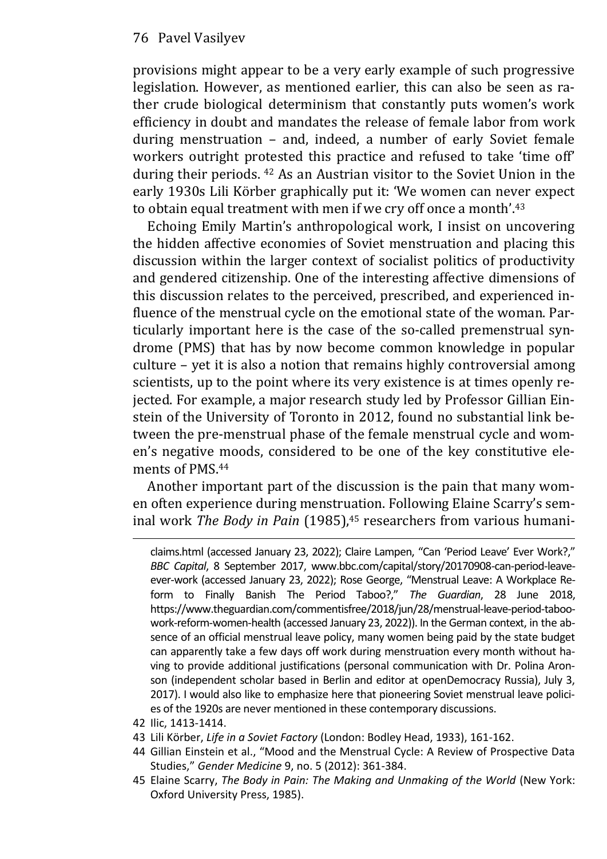provisions might appear to be a very early example of such progressive legislation. However, as mentioned earlier, this can also be seen as rather crude biological determinism that constantly puts women's work efficiency in doubt and mandates the release of female labor from work during menstruation – and, indeed, a number of early Soviet female workers outright protested this practice and refused to take 'time off' during their periods. <sup>42</sup> As an Austrian visitor to the Soviet Union in the early 1930s Lili Körber graphically put it: 'We women can never expect to obtain equal treatment with men if we cry off once a month'.<sup>43</sup>

Echoing Emily Martin's anthropological work, I insist on uncovering the hidden affective economies of Soviet menstruation and placing this discussion within the larger context of socialist politics of productivity and gendered citizenship. One of the interesting affective dimensions of this discussion relates to the perceived, prescribed, and experienced influence of the menstrual cycle on the emotional state of the woman. Particularly important here is the case of the so-called premenstrual syndrome (PMS) that has by now become common knowledge in popular culture – yet it is also a notion that remains highly controversial among scientists, up to the point where its very existence is at times openly rejected. For example, a major research study led by Professor Gillian Einstein of the University of Toronto in 2012, found no substantial link between the pre-menstrual phase of the female menstrual cycle and women's negative moods, considered to be one of the key constitutive elements of PMS.<sup>44</sup>

Another important part of the discussion is the pain that many women often experience during menstruation. Following Elaine Scarry's seminal work *The Body in Pain* (1985),<sup>45</sup> researchers from various humani-

- 42 Ilic, 1413-1414.
- 43 Lili Körber, *Life in a Soviet Factory* (London: Bodley Head, 1933), 161-162.
- 44 Gillian Einstein et al., "Mood and the Menstrual Cycle: A Review of Prospective Data Studies," *Gender Medicine* 9, no. 5 (2012): 361-384.
- 45 Elaine Scarry, *The Body in Pain: The Making and Unmaking of the World* (New York: Oxford University Press, 1985).

claims.html (accessed January 23, 2022); Claire Lampen, "Can 'Period Leave' Ever Work?," *BBC Capital*, 8 September 2017, www.bbc.com/capital/story/20170908-can-period-leaveever-work (accessed January 23, 2022); Rose George, "Menstrual Leave: A Workplace Reform to Finally Banish The Period Taboo?," *The Guardian*, 28 June 2018, https://www.theguardian.com/commentisfree/2018/jun/28/menstrual-leave-period-taboowork-reform-women-health (accessed January 23, 2022)). In the German context, in the absence of an official menstrual leave policy, many women being paid by the state budget can apparently take a few days off work during menstruation every month without having to provide additional justifications (personal communication with Dr. Polina Aronson (independent scholar based in Berlin and editor at openDemocracy Russia), July 3, 2017). I would also like to emphasize here that pioneering Soviet menstrual leave policies of the 1920s are never mentioned in these contemporary discussions.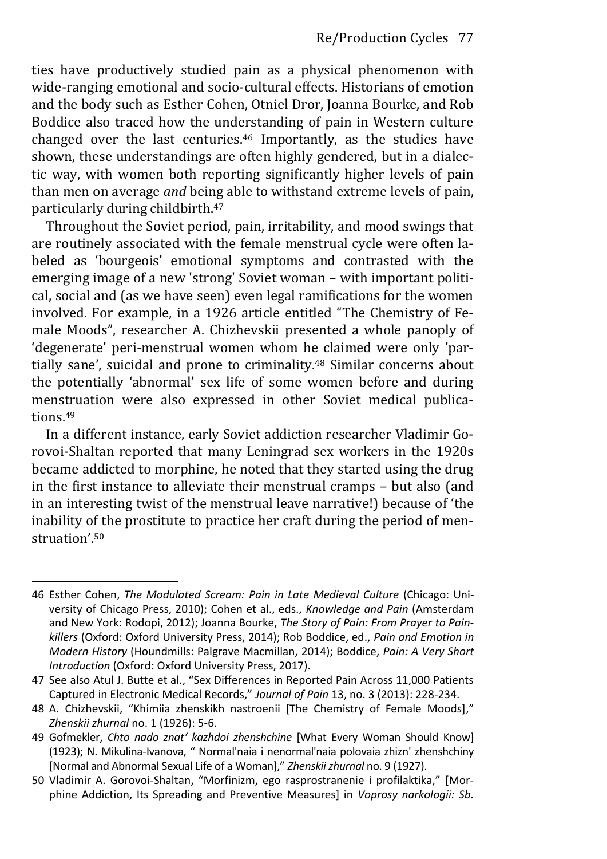ties have productively studied pain as a physical phenomenon with wide-ranging emotional and socio-cultural effects. Historians of emotion and the body such as Esther Cohen, Otniel Dror, Joanna Bourke, and Rob Boddice also traced how the understanding of pain in Western culture changed over the last centuries.46 Importantly, as the studies have shown, these understandings are often highly gendered, but in a dialectic way, with women both reporting significantly higher levels of pain than men on average *and* being able to withstand extreme levels of pain, particularly during childbirth.<sup>47</sup>

Throughout the Soviet period, pain, irritability, and mood swings that are routinely associated with the female menstrual cycle were often labeled as 'bourgeois' emotional symptoms and contrasted with the emerging image of a new 'strong' Soviet woman – with important political, social and (as we have seen) even legal ramifications for the women involved. For example, in a 1926 article entitled "The Chemistry of Female Moods", researcher A. Chizhevskii presented a whole panoply of 'degenerate' peri-menstrual women whom he claimed were only 'partially sane', suicidal and prone to criminality.<sup>48</sup> Similar concerns about the potentially 'abnormal' sex life of some women before and during menstruation were also expressed in other Soviet medical publications.<sup>49</sup>

In a different instance, early Soviet addiction researcher Vladimir Gorovoi-Shaltan reported that many Leningrad sex workers in the 1920s became addicted to morphine, he noted that they started using the drug in the first instance to alleviate their menstrual cramps – but also (and in an interesting twist of the menstrual leave narrative!) because of 'the inability of the prostitute to practice her craft during the period of menstruation'.<sup>50</sup>

<sup>46</sup> Esther Cohen, *The Modulated Scream: Pain in Late Medieval Culture* (Chicago: University of Chicago Press, 2010); Cohen et al., eds., *Knowledge and Pain* (Amsterdam and New York: Rodopi, 2012); Joanna Bourke, *The Story of Pain: From Prayer to Painkillers* (Oxford: Oxford University Press, 2014); Rob Boddice, ed., *Pain and Emotion in Modern History* (Houndmills: Palgrave Macmillan, 2014); Boddice, *Pain: A Very Short Introduction* (Oxford: Oxford University Press, 2017).

<sup>47</sup> See also Atul J. Butte et al., "Sex Differences in Reported Pain Across 11,000 Patients Captured in Electronic Medical Records," *Journal of Pain* 13, no. 3 (2013): 228-234.

<sup>48</sup> A. Chizhevskii, "Khimiia zhenskikh nastroenii [The Chemistry of Female Moods]," *Zhenskii zhurnal* no. 1 (1926): 5-6.

<sup>49</sup> Gofmekler, *Chto nado znat' kazhdoi zhenshchine* [What Every Woman Should Know] (1923); N. Mikulina-Ivanova, " Normal'naia i nenormal'naia polovaia zhizn' zhenshchiny [Normal and Abnormal Sexual Life of a Woman]," *Zhenskii zhurnal* no. 9 (1927).

<sup>50</sup> Vladimir A. Gorovoi-Shaltan, "Morfinizm, ego rasprostranenie i profilaktika," [Morphine Addiction, Its Spreading and Preventive Measures] in *Voprosy narkologii: Sb.*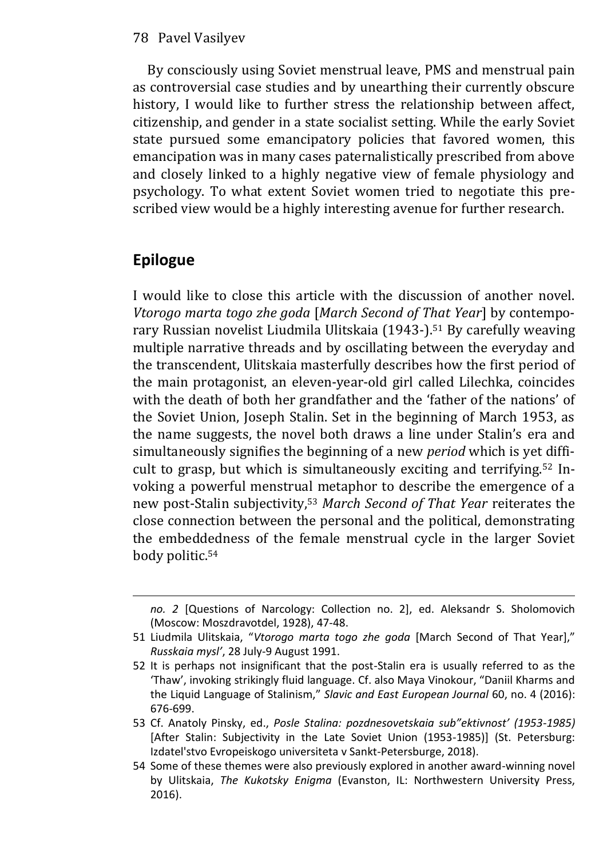By consciously using Soviet menstrual leave, PMS and menstrual pain as controversial case studies and by unearthing their currently obscure history, I would like to further stress the relationship between affect, citizenship, and gender in a state socialist setting. While the early Soviet state pursued some emancipatory policies that favored women, this emancipation was in many cases paternalistically prescribed from above and closely linked to a highly negative view of female physiology and psychology. To what extent Soviet women tried to negotiate this prescribed view would be a highly interesting avenue for further research.

## **Epilogue**

I would like to close this article with the discussion of another novel. *Vtorogo marta togo zhe goda* [*March Second of That Year*] by contemporary Russian novelist Liudmila Ulitskaia (1943-).51 By carefully weaving multiple narrative threads and by oscillating between the everyday and the transcendent, Ulitskaia masterfully describes how the first period of the main protagonist, an eleven-year-old girl called Lilechka, coincides with the death of both her grandfather and the 'father of the nations' of the Soviet Union, Joseph Stalin. Set in the beginning of March 1953, as the name suggests, the novel both draws a line under Stalin's era and simultaneously signifies the beginning of a new *period* which is yet difficult to grasp, but which is simultaneously exciting and terrifying.52 Invoking a powerful menstrual metaphor to describe the emergence of a new post-Stalin subjectivity,<sup>53</sup> *March Second of That Year* reiterates the close connection between the personal and the political, demonstrating the embeddedness of the female menstrual cycle in the larger Soviet body politic.<sup>54</sup>

*no. 2* [Questions of Narcology: Collection no. 2], ed. Aleksandr S. Sholomovich (Moscow: Moszdravotdel, 1928), 47-48.

<sup>51</sup> Liudmila Ulitskaia, "*Vtorogo marta togo zhe goda* [March Second of That Year]," *Russkaia mysl'*, 28 July-9 August 1991.

<sup>52</sup> It is perhaps not insignificant that the post-Stalin era is usually referred to as the 'Thaw', invoking strikingly fluid language. Cf. also Maya Vinokour, "Daniil Kharms and the Liquid Language of Stalinism," *Slavic and East European Journal* 60, no. 4 (2016): 676-699.

<sup>53</sup> Cf. Anatoly Pinsky, ed., *Posle Stalina: pozdnesovetskaia sub"ektivnost' (1953-1985)* [After Stalin: Subjectivity in the Late Soviet Union (1953-1985)] (St. Petersburg: Izdatel'stvo Evropeiskogo universiteta v Sankt-Petersburge, 2018).

<sup>54</sup> Some of these themes were also previously explored in another award-winning novel by Ulitskaia, *The Kukotsky Enigma* (Evanston, IL: Northwestern University Press, 2016).